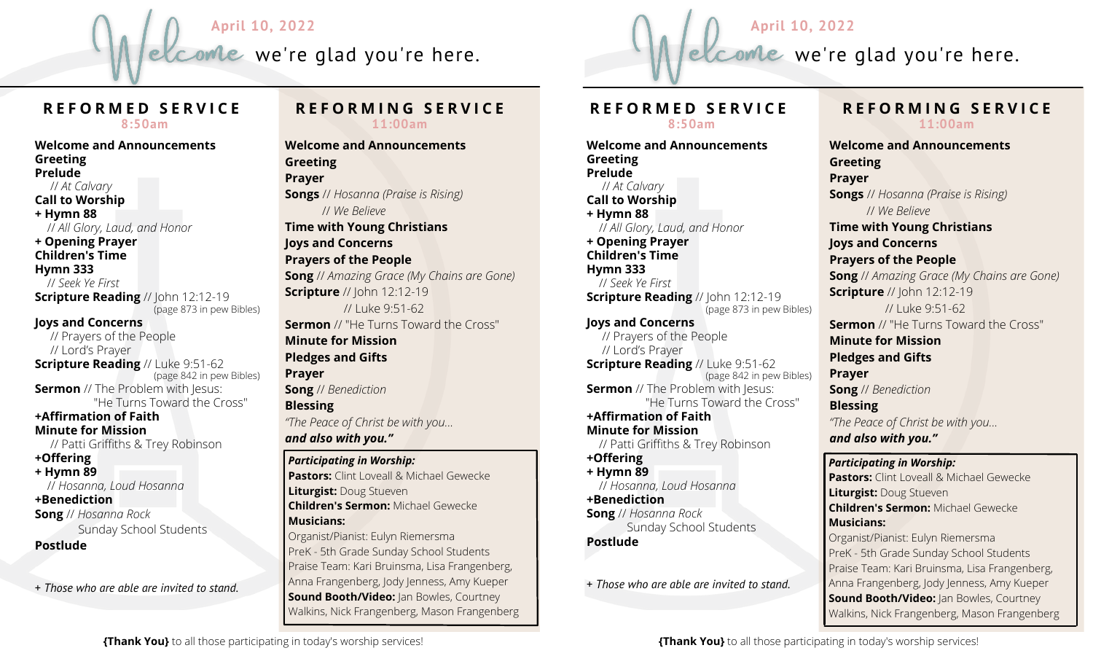



## **R E F O R M E D S E R V I C E 8:50am**

**Welcome and Announcements Greeting Prelude** // *At Calvary* **Call to Worship + Hymn 88** // *All Glory, Laud, and Honor* **+ Opening Prayer Children's Time Hymn 333** // *Seek Ye First* **Scripture Reading** // John 12:12-19 (page 873 in pew Bibles) **Joys and Concerns** // Prayers of the People // Lord's Prayer **Scripture Reading** // Luke 9:51-62 (page 842 in pew Bibles) **Sermon** // The Problem with Jesus: "He Turns Toward the Cross" **+Affirmation of Faith Minute for Mission** // Patti Griffiths & Trey Robinson **+Offering + Hymn 89** // *Hosanna, Loud Hosanna* **+Benediction Song** // *Hosanna Rock* Sunday School Students **Postlude** + *Those who are able are invited to stand.*

#### **R E F O R M I N G S E R V I C E 11:00am**

**Welcome and Announcements Greeting Prayer Songs** // *Hosanna (Praise is Rising)* // *We Believe* **Time with Young Christians Joys and Concerns Prayers of the People Song** // *Amazing Grace (My Chains are Gone)* **Scripture** // John 12:12-19 // Luke 9:51-62 **Sermon** // "He Turns Toward the Cross" **Minute for Mission Pledges and Gifts Prayer Song** // *Benediction* **Blessing** *"The Peace of Christ be with you... and also with you." Participating in Worship:* **Pastors:** Clint Loveall & Michael Gewecke

**Liturgist:** Doug Stueven **Children's Sermon:** Michael Gewecke **Musicians:** Organist/Pianist: Eulyn Riemersma

PreK - 5th Grade Sunday School Students Praise Team: Kari Bruinsma, Lisa Frangenberg, Anna Frangenberg, Jody Jenness, Amy Kueper **Sound Booth/Video:** Jan Bowles, Courtney Walkins, Nick Frangenberg, Mason Frangenberg

# **R E F O R M E D S E R V I C E 8:50am**

**Welcome and Announcements Greeting Prelude** // *At Calvary* **Call to Worship + Hymn 88** // *All Glory, Laud, and Honor* **+ Opening Prayer Children's Time Hymn 333** // *Seek Ye First* **Scripture Reading** // John 12:12-19 (page 873 in pew Bibles) **Joys and Concerns** // Prayers of the People // Lord's Prayer **Scripture Reading** // Luke 9:51-62 (page 842 in pew Bibles) **Sermon** // The Problem with Jesus: "He Turns Toward the Cross" **+Affirmation of Faith Minute for Mission** // Patti Griffiths & Trey Robinson **+Offering + Hymn 89** // *Hosanna, Loud Hosanna* **+Benediction Song** // *Hosanna Rock* Sunday School Students **Postlude**

+ *Those who are able are invited to stand.*

# **R E F O R M I N G S E R V I C E 11:00am**

*Participating in Worship:* **Welcome and Announcements Greeting Prayer Songs** // *Hosanna (Praise is Rising)* // *We Believe* **Time with Young Christians Joys and Concerns Prayers of the People Song** // *Amazing Grace (My Chains are Gone)* **Scripture** // John 12:12-19 // Luke 9:51-62 **Sermon** // "He Turns Toward the Cross" **Minute for Mission Pledges and Gifts Prayer Song** // *Benediction* **Blessing** *"The Peace of Christ be with you... and also with you."*

**Pastors:** Clint Loveall & Michael Gewecke **Liturgist:** Doug Stueven **Children's Sermon:** Michael Gewecke **Musicians:** Organist/Pianist: Eulyn Riemersma PreK - 5th Grade Sunday School Students Praise Team: Kari Bruinsma, Lisa Frangenberg, Anna Frangenberg, Jody Jenness, Amy Kueper **Sound Booth/Video:** Jan Bowles, Courtney Walkins, Nick Frangenberg, Mason Frangenberg

**{Thank You}** to all those participating in today's worship services!